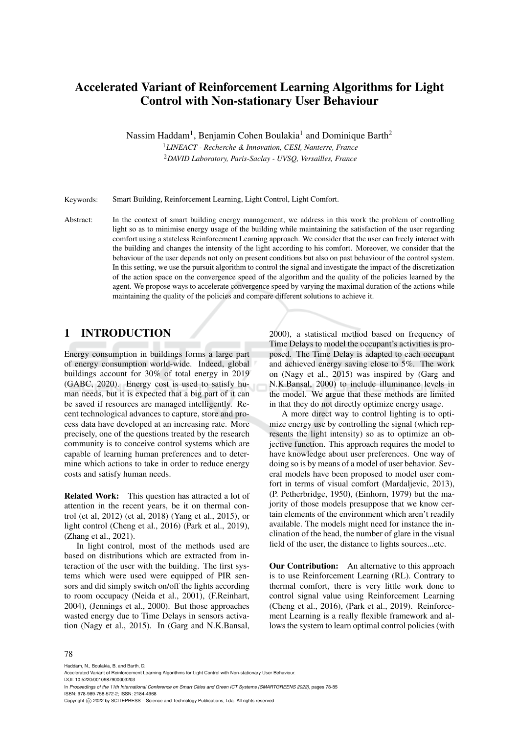# Accelerated Variant of Reinforcement Learning Algorithms for Light Control with Non-stationary User Behaviour

Nassim Haddam<sup>1</sup>, Benjamin Cohen Boulakia<sup>1</sup> and Dominique Barth<sup>2</sup>

<sup>1</sup>*LINEACT - Recherche & Innovation, CESI, Nanterre, France* <sup>2</sup>*DAVID Laboratory, Paris-Saclay - UVSQ, Versailles, France*

Keywords: Smart Building, Reinforcement Learning, Light Control, Light Comfort.

Abstract: In the context of smart building energy management, we address in this work the problem of controlling light so as to minimise energy usage of the building while maintaining the satisfaction of the user regarding comfort using a stateless Reinforcement Learning approach. We consider that the user can freely interact with the building and changes the intensity of the light according to his comfort. Moreover, we consider that the behaviour of the user depends not only on present conditions but also on past behaviour of the control system. In this setting, we use the pursuit algorithm to control the signal and investigate the impact of the discretization of the action space on the convergence speed of the algorithm and the quality of the policies learned by the agent. We propose ways to accelerate convergence speed by varying the maximal duration of the actions while maintaining the quality of the policies and compare different solutions to achieve it.

# 1 INTRODUCTION

Energy consumption in buildings forms a large part of energy consumption world-wide. Indeed, global buildings account for 30% of total energy in 2019 (GABC, 2020). Energy cost is used to satisfy human needs, but it is expected that a big part of it can be saved if resources are managed intelligently. Recent technological advances to capture, store and process data have developed at an increasing rate. More precisely, one of the questions treated by the research community is to conceive control systems which are capable of learning human preferences and to determine which actions to take in order to reduce energy costs and satisfy human needs.

Related Work: This question has attracted a lot of attention in the recent years, be it on thermal control (et al, 2012) (et al, 2018) (Yang et al., 2015), or light control (Cheng et al., 2016) (Park et al., 2019), (Zhang et al., 2021).

In light control, most of the methods used are based on distributions which are extracted from interaction of the user with the building. The first systems which were used were equipped of PIR sensors and did simply switch on/off the lights according to room occupacy (Neida et al., 2001), (F.Reinhart, 2004), (Jennings et al., 2000). But those approaches wasted energy due to Time Delays in sensors activation (Nagy et al., 2015). In (Garg and N.K.Bansal,

2000), a statistical method based on frequency of Time Delays to model the occupant's activities is proposed. The Time Delay is adapted to each occupant and achieved energy saving close to 5%. The work on (Nagy et al., 2015) was inspired by (Garg and N.K.Bansal, 2000) to include illuminance levels in the model. We argue that these methods are limited in that they do not directly optimize energy usage.

A more direct way to control lighting is to optimize energy use by controlling the signal (which represents the light intensity) so as to optimize an objective function. This approach requires the model to have knowledge about user preferences. One way of doing so is by means of a model of user behavior. Several models have been proposed to model user comfort in terms of visual comfort (Mardaljevic, 2013), (P. Petherbridge, 1950), (Einhorn, 1979) but the majority of those models presuppose that we know certain elements of the environment which aren't readily available. The models might need for instance the inclination of the head, the number of glare in the visual field of the user, the distance to lights sources...etc.

Our Contribution: An alternative to this approach is to use Reinforcement Learning (RL). Contrary to thermal comfort, there is very little work done to control signal value using Reinforcement Learning (Cheng et al., 2016), (Park et al., 2019). Reinforcement Learning is a really flexible framework and allows the system to learn optimal control policies (with

#### 78

Haddam, N., Boulakia, B. and Barth, D.

DOI: 10.5220/0010987900003203

In *Proceedings of the 11th International Conference on Smart Cities and Green ICT Systems (SMARTGREENS 2022)*, pages 78-85 ISBN: 978-989-758-572-2; ISSN: 2184-4968

Copyright (C) 2022 by SCITEPRESS - Science and Technology Publications, Lda. All rights reserved

Accelerated Variant of Reinforcement Learning Algorithms for Light Control with Non-stationary User Behaviour.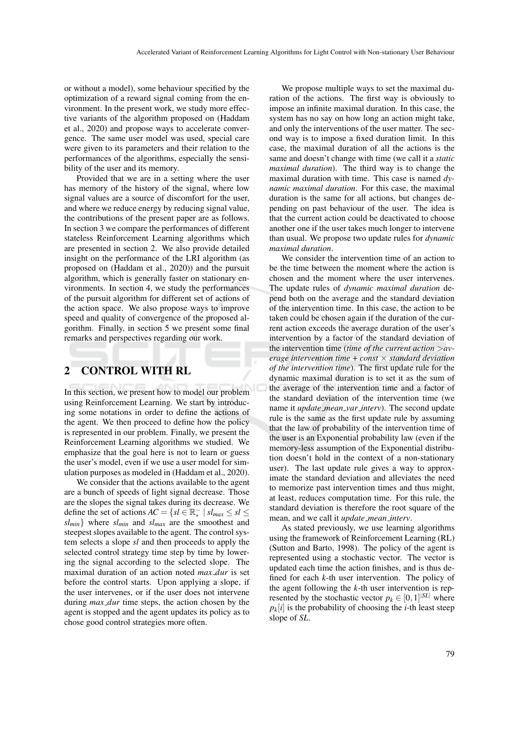or without a model), some behaviour specified by the optimization of a reward signal coming from the environment. In the present work, we study more effective variants of the algorithm proposed on (Haddam et al., 2020) and propose ways to accelerate convergence. The same user model was used, special care were given to its parameters and their relation to the performances of the algorithms, especially the sensibility of the user and its memory.

Provided that we are in a setting where the user has memory of the history of the signal, where low signal values are a source of discomfort for the user, and where we reduce energy by reducing signal value, the contributions of the present paper are as follows. In section 3 we compare the performances of different stateless Reinforcement Learning algorithms which are presented in section 2. We also provide detailed insight on the performance of the LRI algorithm (as proposed on (Haddam et al., 2020)) and the pursuit algorithm, which is generally faster on stationary environments. In section 4, we study the performances of the pursuit algorithm for different set of actions of the action space. We also propose ways to improve speed and quality of convergence of the proposed algorithm. Finally, in section 5 we present some final remarks and perspectives regarding our work.

## 2 CONTROL WITH RL

In this section, we present how to model our problem using Reinforcement Learning. We start by introducing some notations in order to define the actions of the agent. We then proceed to define how the policy is represented in our problem. Finally, we present the Reinforcement Learning algorithms we studied. We emphasize that the goal here is not to learn or guess the user's model, even if we use a user model for simulation purposes as modeled in (Haddam et al., 2020).

We consider that the actions available to the agent are a bunch of speeds of light signal decrease. Those are the slopes the signal takes during its decrease. We define the set of actions  $AC = \{sl \in \mathbb{R}^+ \mid sl_{max} \le sl \le$ *slmin*} where *slmin* and *slmax* are the smoothest and steepest slopes available to the agent. The control system selects a slope *sl* and then proceeds to apply the selected control strategy time step by time by lowering the signal according to the selected slope. The maximal duration of an action noted *max dur* is set before the control starts. Upon applying a slope, if the user intervenes, or if the user does not intervene during *max dur* time steps, the action chosen by the agent is stopped and the agent updates its policy as to chose good control strategies more often.

We propose multiple ways to set the maximal duration of the actions. The first way is obviously to impose an infinite maximal duration. In this case, the system has no say on how long an action might take, and only the interventions of the user matter. The second way is to impose a fixed duration limit. In this case, the maximal duration of all the actions is the same and doesn't change with time (we call it a *static maximal duration*). The third way is to change the maximal duration with time. This case is named *dynamic maximal duration*. For this case, the maximal duration is the same for all actions, but changes depending on past behaviour of the user. The idea is that the current action could be deactivated to choose another one if the user takes much longer to intervene than usual. We propose two update rules for *dynamic maximal duration*.

We consider the intervention time of an action to be the time between the moment where the action is chosen and the moment where the user intervenes. The update rules of *dynamic maximal duration* depend both on the average and the standard deviation of the intervention time. In this case, the action to be taken could be chosen again if the duration of the current action exceeds the average duration of the user's intervention by a factor of the standard deviation of the intervention time (*time of the current action* >*average intervention time* + *const* × *standard deviation of the intervention time*). The first update rule for the dynamic maximal duration is to set it as the sum of the average of the intervention time and a factor of the standard deviation of the intervention time (we name it *update mean var interv*). The second update rule is the same as the first update rule by assuming that the law of probability of the intervention time of the user is an Exponential probability law (even if the memory-less assumption of the Exponential distribution doesn't hold in the context of a non-stationary user). The last update rule gives a way to approximate the standard deviation and alleviates the need to memorize past intervention times and thus might, at least, reduces computation time. For this rule, the standard deviation is therefore the root square of the mean, and we call it *update mean interv*.

As stated previously, we use learning algorithms using the framework of Reinforcement Learning (RL) (Sutton and Barto, 1998). The policy of the agent is represented using a stochastic vector. The vector is updated each time the action finishes, and is thus defined for each *k*-th user intervention. The policy of the agent following the *k*-th user intervention is represented by the stochastic vector  $p_k \in [0,1]^{|\mathcal{SL}|}$  where  $p_k[i]$  is the probability of choosing the *i*-th least steep slope of *SL*.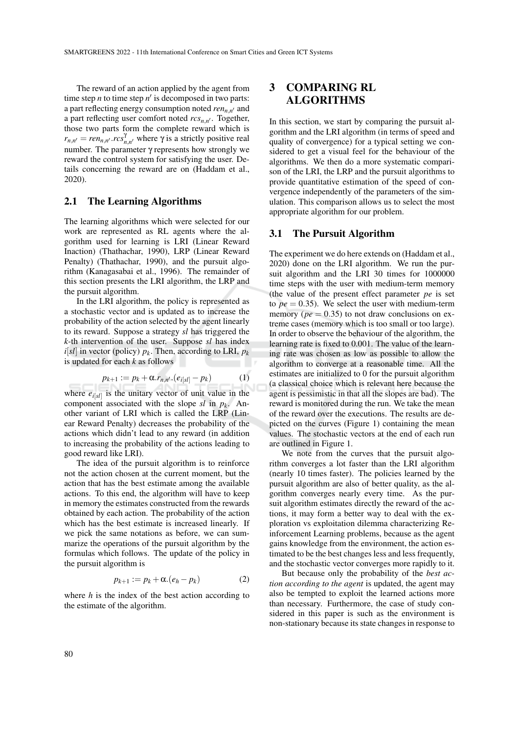The reward of an action applied by the agent from time step  $n$  to time step  $n'$  is decomposed in two parts: a part reflecting energy consumption noted *ren*<sub>n,n'</sub> and a part reflecting user comfort noted  $rcs_{n,n'}$ . Together, those two parts form the complete reward which is  $r_{n,n'} = ren_{n,n'} \cdot res_{n,n'}^{\gamma}$  where  $\gamma$  is a strictly positive real number. The parameter  $γ$  represents how strongly we reward the control system for satisfying the user. Details concerning the reward are on (Haddam et al., 2020).

### 2.1 The Learning Algorithms

The learning algorithms which were selected for our work are represented as RL agents where the algorithm used for learning is LRI (Linear Reward Inaction) (Thathachar, 1990), LRP (Linear Reward Penalty) (Thathachar, 1990), and the pursuit algorithm (Kanagasabai et al., 1996). The remainder of this section presents the LRI algorithm, the LRP and the pursuit algorithm.

In the LRI algorithm, the policy is represented as a stochastic vector and is updated as to increase the probability of the action selected by the agent linearly to its reward. Suppose a strategy *sl* has triggered the *k*-th intervention of the user. Suppose *sl* has index  $i[sl]$  in vector (policy)  $p_k$ . Then, according to LRI,  $p_k$ is updated for each *k* as follows

$$
p_{k+1} := p_k + \alpha.r_{n,n'} \cdot (e_{i[s^l]} - p_k) \tag{1}
$$

where  $e_{i[s]}$  is the unitary vector of unit value in the component associated with the slope  $sl$  in  $p_k$ . Another variant of LRI which is called the LRP (Linear Reward Penalty) decreases the probability of the actions which didn't lead to any reward (in addition to increasing the probability of the actions leading to good reward like LRI).

The idea of the pursuit algorithm is to reinforce not the action chosen at the current moment, but the action that has the best estimate among the available actions. To this end, the algorithm will have to keep in memory the estimates constructed from the rewards obtained by each action. The probability of the action which has the best estimate is increased linearly. If we pick the same notations as before, we can summarize the operations of the pursuit algorithm by the formulas which follows. The update of the policy in the pursuit algorithm is

$$
p_{k+1} := p_k + \alpha.(e_h - p_k) \tag{2}
$$

where *h* is the index of the best action according to the estimate of the algorithm.

# 3 COMPARING RL ALGORITHMS

In this section, we start by comparing the pursuit algorithm and the LRI algorithm (in terms of speed and quality of convergence) for a typical setting we considered to get a visual feel for the behaviour of the algorithms. We then do a more systematic comparison of the LRI, the LRP and the pursuit algorithms to provide quantitative estimation of the speed of convergence independently of the parameters of the simulation. This comparison allows us to select the most appropriate algorithm for our problem.

#### 3.1 The Pursuit Algorithm

The experiment we do here extends on (Haddam et al., 2020) done on the LRI algorithm. We run the pursuit algorithm and the LRI 30 times for 1000000 time steps with the user with medium-term memory (the value of the present effect parameter *pe* is set to  $pe = 0.35$ ). We select the user with medium-term memory ( $pe = 0.35$ ) to not draw conclusions on extreme cases (memory which is too small or too large). In order to observe the behaviour of the algorithm, the learning rate is fixed to 0.001. The value of the learning rate was chosen as low as possible to allow the algorithm to converge at a reasonable time. All the estimates are initialized to 0 for the pursuit algorithm (a classical choice which is relevant here because the agent is pessimistic in that all the slopes are bad). The reward is monitored during the run. We take the mean of the reward over the executions. The results are depicted on the curves (Figure 1) containing the mean values. The stochastic vectors at the end of each run are outlined in Figure 1.

We note from the curves that the pursuit algorithm converges a lot faster than the LRI algorithm (nearly 10 times faster). The policies learned by the pursuit algorithm are also of better quality, as the algorithm converges nearly every time. As the pursuit algorithm estimates directly the reward of the actions, it may form a better way to deal with the exploration vs exploitation dilemma characterizing Reinforcement Learning problems, because as the agent gains knowledge from the environment, the action estimated to be the best changes less and less frequently, and the stochastic vector converges more rapidly to it.

But because only the probability of the *best action according to the agent* is updated, the agent may also be tempted to exploit the learned actions more than necessary. Furthermore, the case of study considered in this paper is such as the environment is non-stationary because its state changes in response to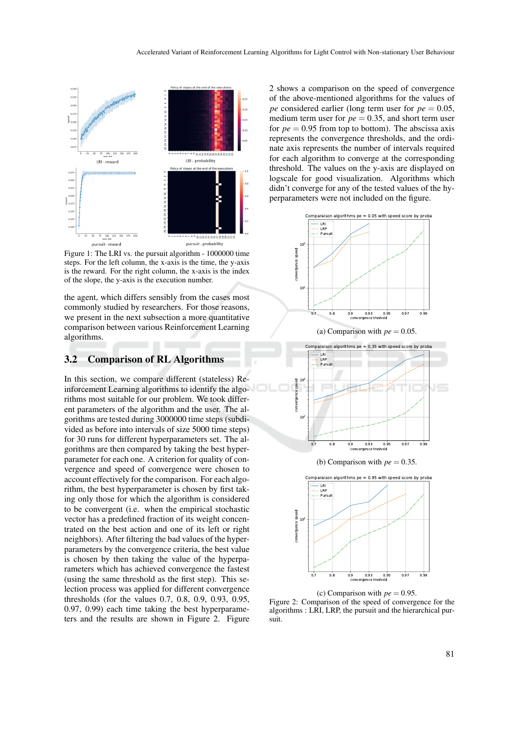

Figure 1: The LRI vs. the pursuit algorithm - 1000000 time steps. For the left column, the x-axis is the time, the y-axis is the reward. For the right column, the x-axis is the index of the slope, the y-axis is the execution number.

the agent, which differs sensibly from the cases most commonly studied by researchers. For those reasons, we present in the next subsection a more quantitative comparison between various Reinforcement Learning algorithms.

### 3.2 Comparison of RL Algorithms

In this section, we compare different (stateless) Reinforcement Learning algorithms to identify the algorithms most suitable for our problem. We took different parameters of the algorithm and the user. The algorithms are tested during 3000000 time steps (subdivided as before into intervals of size 5000 time steps) for 30 runs for different hyperparameters set. The algorithms are then compared by taking the best hyperparameter for each one. A criterion for quality of convergence and speed of convergence were chosen to account effectively for the comparison. For each algorithm, the best hyperparameter is chosen by first taking only those for which the algorithm is considered to be convergent (i.e. when the empirical stochastic vector has a predefined fraction of its weight concentrated on the best action and one of its left or right neighbors). After filtering the bad values of the hyperparameters by the convergence criteria, the best value is chosen by then taking the value of the hyperparameters which has achieved convergence the fastest (using the same threshold as the first step). This selection process was applied for different convergence thresholds (for the values 0.7, 0.8, 0.9, 0.93, 0.95, 0.97, 0.99) each time taking the best hyperparameters and the results are shown in Figure 2. Figure

2 shows a comparison on the speed of convergence of the above-mentioned algorithms for the values of *pe* considered earlier (long term user for *pe* = 0.05, medium term user for  $pe = 0.35$ , and short term user for  $pe = 0.95$  from top to bottom). The abscissa axis represents the convergence thresholds, and the ordinate axis represents the number of intervals required for each algorithm to converge at the corresponding threshold. The values on the y-axis are displayed on logscale for good visualization. Algorithms which didn't converge for any of the tested values of the hyperparameters were not included on the figure.





(c) Comparison with  $pe = 0.95$ . Figure 2: Comparison of the speed of convergence for the algorithms : LRI, LRP, the pursuit and the hierarchical pursuit.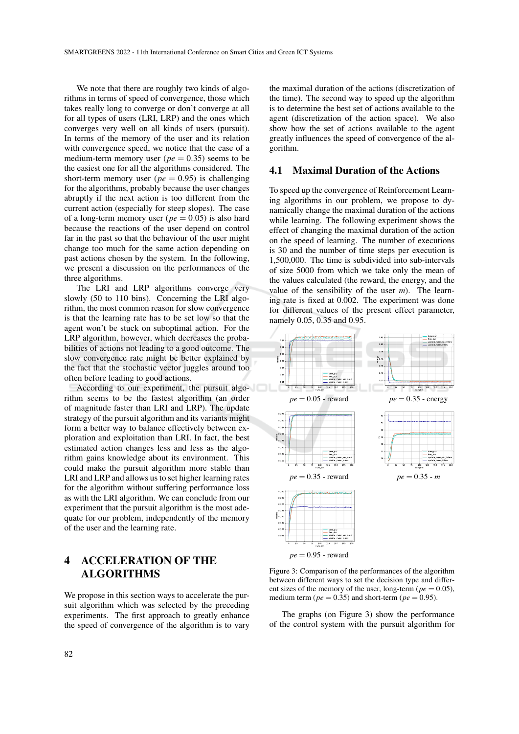We note that there are roughly two kinds of algorithms in terms of speed of convergence, those which takes really long to converge or don't converge at all for all types of users (LRI, LRP) and the ones which converges very well on all kinds of users (pursuit). In terms of the memory of the user and its relation with convergence speed, we notice that the case of a medium-term memory user ( $pe = 0.35$ ) seems to be the easiest one for all the algorithms considered. The short-term memory user ( $pe = 0.95$ ) is challenging for the algorithms, probably because the user changes abruptly if the next action is too different from the current action (especially for steep slopes). The case of a long-term memory user ( $pe = 0.05$ ) is also hard because the reactions of the user depend on control far in the past so that the behaviour of the user might change too much for the same action depending on past actions chosen by the system. In the following, we present a discussion on the performances of the three algorithms.

The LRI and LRP algorithms converge very slowly (50 to 110 bins). Concerning the LRI algorithm, the most common reason for slow convergence is that the learning rate has to be set low so that the agent won't be stuck on suboptimal action. For the LRP algorithm, however, which decreases the probabilities of actions not leading to a good outcome. The slow convergence rate might be better explained by the fact that the stochastic vector juggles around too often before leading to good actions.

According to our experiment, the pursuit algorithm seems to be the fastest algorithm (an order of magnitude faster than LRI and LRP). The update strategy of the pursuit algorithm and its variants might form a better way to balance effectively between exploration and exploitation than LRI. In fact, the best estimated action changes less and less as the algorithm gains knowledge about its environment. This could make the pursuit algorithm more stable than LRI and LRP and allows us to set higher learning rates for the algorithm without suffering performance loss as with the LRI algorithm. We can conclude from our experiment that the pursuit algorithm is the most adequate for our problem, independently of the memory of the user and the learning rate.

# 4 ACCELERATION OF THE ALGORITHMS

We propose in this section ways to accelerate the pursuit algorithm which was selected by the preceding experiments. The first approach to greatly enhance the speed of convergence of the algorithm is to vary

the maximal duration of the actions (discretization of the time). The second way to speed up the algorithm is to determine the best set of actions available to the agent (discretization of the action space). We also show how the set of actions available to the agent greatly influences the speed of convergence of the algorithm.

#### 4.1 Maximal Duration of the Actions

To speed up the convergence of Reinforcement Learning algorithms in our problem, we propose to dynamically change the maximal duration of the actions while learning. The following experiment shows the effect of changing the maximal duration of the action on the speed of learning. The number of executions is 30 and the number of time steps per execution is 1,500,000. The time is subdivided into sub-intervals of size 5000 from which we take only the mean of the values calculated (the reward, the energy, and the value of the sensibility of the user *m*). The learning rate is fixed at 0.002. The experiment was done for different values of the present effect parameter, namely 0.05, 0.35 and 0.95.



Figure 3: Comparison of the performances of the algorithm between different ways to set the decision type and different sizes of the memory of the user, long-term ( $pe = 0.05$ ), medium term ( $pe = 0.35$ ) and short-term ( $pe = 0.95$ ).

The graphs (on Figure 3) show the performance of the control system with the pursuit algorithm for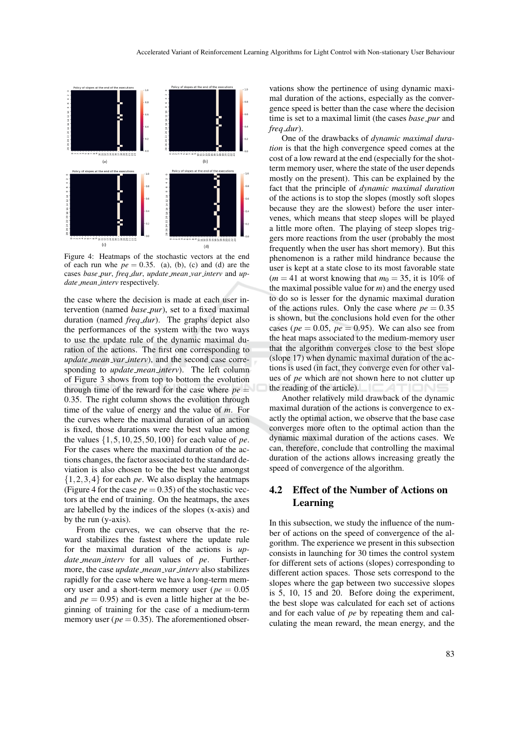

Figure 4: Heatmaps of the stochastic vectors at the end of each run whe  $pe = 0.35$ . (a), (b), (c) and (d) are the cases *base pur*, *freq dur*, *update mean var interv* and *update mean interv* respectively.

the case where the decision is made at each user intervention (named *base pur*), set to a fixed maximal duration (named *freq dur*). The graphs depict also the performances of the system with the two ways to use the update rule of the dynamic maximal duration of the actions. The first one corresponding to *update mean var interv*), and the second case corresponding to *update mean interv*). The left column of Figure 3 shows from top to bottom the evolution through time of the reward for the case where  $pe =$ 0.35. The right column shows the evolution through time of the value of energy and the value of *m*. For the curves where the maximal duration of an action is fixed, those durations were the best value among the values {1,5,10,25,50,100} for each value of *pe*. For the cases where the maximal duration of the actions changes, the factor associated to the standard deviation is also chosen to be the best value amongst {1,2,3,4} for each *pe*. We also display the heatmaps (Figure 4 for the case  $pe = 0.35$ ) of the stochastic vectors at the end of training. On the heatmaps, the axes are labelled by the indices of the slopes (x-axis) and by the run (y-axis).

From the curves, we can observe that the reward stabilizes the fastest where the update rule for the maximal duration of the actions is *update mean interv* for all values of *pe*. Furthermore, the case *update mean var interv* also stabilizes rapidly for the case where we have a long-term memory user and a short-term memory user (*pe* = 0.05 and  $pe = 0.95$ ) and is even a little higher at the beginning of training for the case of a medium-term memory user ( $pe = 0.35$ ). The aforementioned obser-

vations show the pertinence of using dynamic maximal duration of the actions, especially as the convergence speed is better than the case where the decision time is set to a maximal limit (the cases *base pur* and *freq dur*).

One of the drawbacks of *dynamic maximal duration* is that the high convergence speed comes at the cost of a low reward at the end (especially for the shotterm memory user, where the state of the user depends mostly on the present). This can be explained by the fact that the principle of *dynamic maximal duration* of the actions is to stop the slopes (mostly soft slopes because they are the slowest) before the user intervenes, which means that steep slopes will be played a little more often. The playing of steep slopes triggers more reactions from the user (probably the most frequently when the user has short memory). But this phenomenon is a rather mild hindrance because the user is kept at a state close to its most favorable state  $(m = 41$  at worst knowing that  $m_0 = 35$ , it is 10% of the maximal possible value for *m*) and the energy used to do so is lesser for the dynamic maximal duration of the actions rules. Only the case where  $pe = 0.35$ is shown, but the conclusions hold even for the other cases ( $pe = 0.05$ ,  $pe = 0.95$ ). We can also see from the heat maps associated to the medium-memory user that the algorithm converges close to the best slope (slope 17) when dynamic maximal duration of the actions is used (in fact, they converge even for other values of *pe* which are not shown here to not clutter up the reading of the article).

Another relatively mild drawback of the dynamic maximal duration of the actions is convergence to exactly the optimal action, we observe that the base case converges more often to the optimal action than the dynamic maximal duration of the actions cases. We can, therefore, conclude that controlling the maximal duration of the actions allows increasing greatly the speed of convergence of the algorithm.

# 4.2 Effect of the Number of Actions on Learning

In this subsection, we study the influence of the number of actions on the speed of convergence of the algorithm. The experience we present in this subsection consists in launching for 30 times the control system for different sets of actions (slopes) corresponding to different action spaces. Those sets correspond to the slopes where the gap between two successive slopes is 5, 10, 15 and 20. Before doing the experiment, the best slope was calculated for each set of actions and for each value of *pe* by repeating them and calculating the mean reward, the mean energy, and the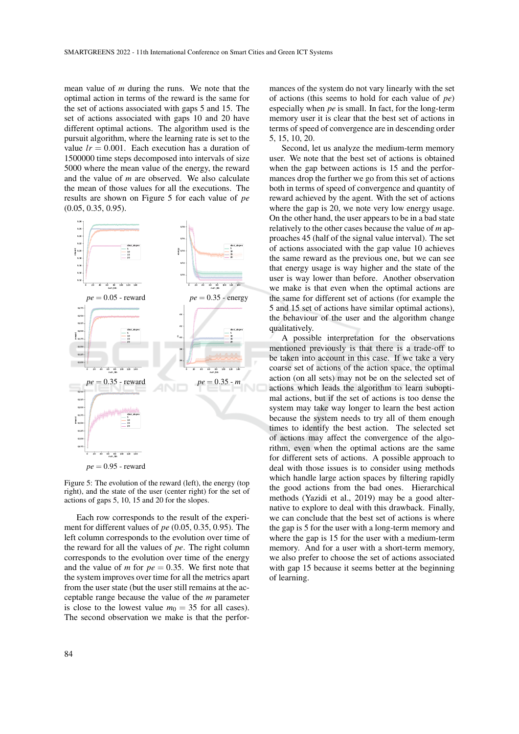mean value of *m* during the runs. We note that the optimal action in terms of the reward is the same for the set of actions associated with gaps 5 and 15. The set of actions associated with gaps 10 and 20 have different optimal actions. The algorithm used is the pursuit algorithm, where the learning rate is set to the value  $lr = 0.001$ . Each execution has a duration of 1500000 time steps decomposed into intervals of size 5000 where the mean value of the energy, the reward and the value of *m* are observed. We also calculate the mean of those values for all the executions. The results are shown on Figure 5 for each value of *pe* (0.05, 0.35, 0.95).



Figure 5: The evolution of the reward (left), the energy (top right), and the state of the user (center right) for the set of actions of gaps 5, 10, 15 and 20 for the slopes.

Each row corresponds to the result of the experiment for different values of *pe* (0.05, 0.35, 0.95). The left column corresponds to the evolution over time of the reward for all the values of *pe*. The right column corresponds to the evolution over time of the energy and the value of *m* for  $pe = 0.35$ . We first note that the system improves over time for all the metrics apart from the user state (but the user still remains at the acceptable range because the value of the *m* parameter is close to the lowest value  $m_0 = 35$  for all cases). The second observation we make is that the perfor-

mances of the system do not vary linearly with the set of actions (this seems to hold for each value of *pe*) especially when *pe* is small. In fact, for the long-term memory user it is clear that the best set of actions in terms of speed of convergence are in descending order 5, 15, 10, 20.

Second, let us analyze the medium-term memory user. We note that the best set of actions is obtained when the gap between actions is 15 and the performances drop the further we go from this set of actions both in terms of speed of convergence and quantity of reward achieved by the agent. With the set of actions where the gap is 20, we note very low energy usage. On the other hand, the user appears to be in a bad state relatively to the other cases because the value of *m* approaches 45 (half of the signal value interval). The set of actions associated with the gap value 10 achieves the same reward as the previous one, but we can see that energy usage is way higher and the state of the user is way lower than before. Another observation we make is that even when the optimal actions are the same for different set of actions (for example the 5 and 15 set of actions have similar optimal actions), the behaviour of the user and the algorithm change qualitatively.

A possible interpretation for the observations mentioned previously is that there is a trade-off to be taken into account in this case. If we take a very coarse set of actions of the action space, the optimal action (on all sets) may not be on the selected set of actions which leads the algorithm to learn suboptimal actions, but if the set of actions is too dense the system may take way longer to learn the best action because the system needs to try all of them enough times to identify the best action. The selected set of actions may affect the convergence of the algorithm, even when the optimal actions are the same for different sets of actions. A possible approach to deal with those issues is to consider using methods which handle large action spaces by filtering rapidly the good actions from the bad ones. Hierarchical methods (Yazidi et al., 2019) may be a good alternative to explore to deal with this drawback. Finally, we can conclude that the best set of actions is where the gap is 5 for the user with a long-term memory and where the gap is 15 for the user with a medium-term memory. And for a user with a short-term memory, we also prefer to choose the set of actions associated with gap 15 because it seems better at the beginning of learning.